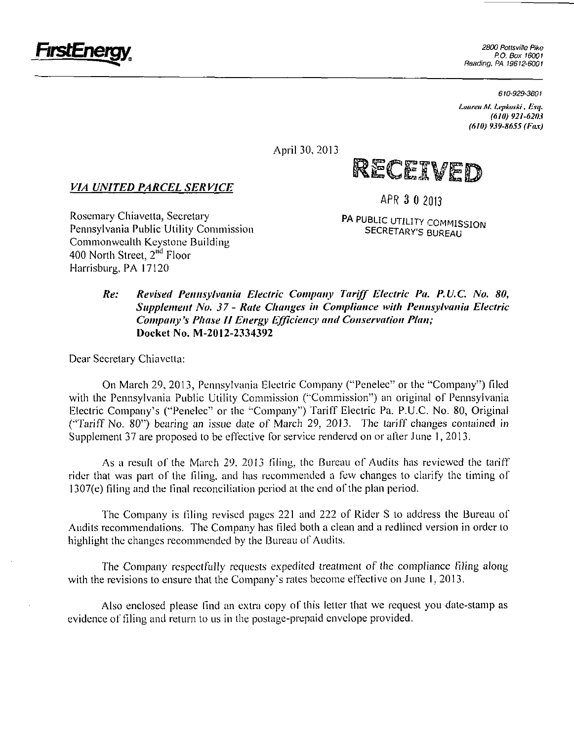

P.O. Box 16001 Reading, PA 19612-6001

*610-929-3601* 

*Ltutreu M. Lepkoski, Esq. (6/0) 921-6203 (610) 939-8655 (Fax)* 

April 30, 2013

**fits was** 

### *VIA UNITED PARCEL SERVICE*

Rosemary Chiavetta, Secretary Pennsylvania Public Utility Commission Commonwealth Keystone Building 400 North Street, 2<sup>nd</sup> Floor Harrisburg, PA 17120

**APR 3 0 2013** 

**PA PUBLIC UTILITY COMMISSION SECRETARY'S BUREAU** 

## **Re: Revised Pennsylvania Electric Company Tariff Eiectric Pa. P.U.C. No. 80, Supplement No. 37 - Rate Changes in Compliance with Pennsylvania Electric Company's Phase II Energy Efficiency and Conservation Plan; Docket No. M-2012-2334392**

Dear Secretary Chiavetta:

On March 29, 2013, Pennsylvania Eleclric Company ("Penelec" or the "Company") filed with the Pennsylvania Public Utility Commission ("Commission") an original of Pennsylvania Electric Company's ("Penelec" or the "Company") Tariff Electric Pa. P.U.C. No. 80, Original ("Tariff No. 80") bearing an issue date of March 29, 2013. The tariff changes contained in Supplement 37 are proposed to be effective for service rendered on or after June 1, 2013.

As a result of the March 29, 2013 filing, the Bureau of Audits has reviewed the tariff rider that was part of the filing, and has recommended a few changes to clarify the timing of  $1307(e)$  filing and the final reconciliation period at the end of the plan period.

The Company is filing revised pages 221 and 222 of Rider S to address lhe Bureau of Audits recommendalions. The Company has filed both a clean and a redlined version in order to highlight the changes recommended by the Bureau of Audits.

The Company respectfully requests expedited treatment of the compliance filing along with the revisions to ensure that the Company's rates become effective on June 1, 2013.

Also enclosed please find an extra copy of this letter lhat we requesl you dale-stamp as evidence of filing and return to us in the postage-prepaid envelope provided.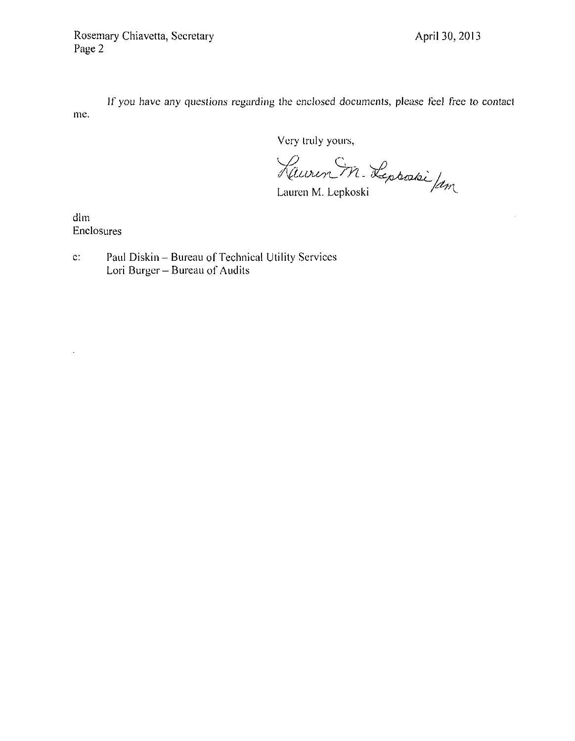$\bar{z}$ 

If you have any questions regarding the enclosed documents, please feel free to contact me.

Very truly yours,

Kluren M. Leptratie Jam

dim Enclosures

 $\ddot{\phantom{0}}$ 

c: Paul Diskin - Bureau of Technical Utility Services Lori Burger - Bureau of Audits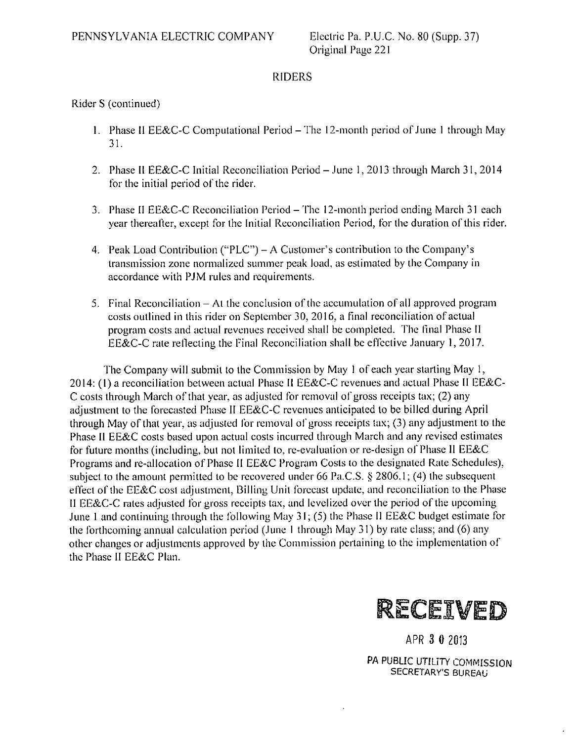## Rider S (continued)

- 1. Phase II EE&C-C Computational Period The 12-month period of June 1 through May 31.
- 2. Phase II EE&C-C Initial Reconciliation Period-June 1, 2013 through March 31, 2014 for the initial period of the rider.
- 3. Phase II EE&C-C Reconciliation Period-The 12-month period ending March 31 each year thereafter, except for the Initial Reconciliation Period, for the duration of this rider.
- 4. Peak Load Contribution ("PLC") A Customer's contribution to the Company's transmission zone normalized summer peak load, as estimated by the Company in accordance with PJM rules and requirements.
- 5. Final Reconciliation At the conclusion of the accumulation of all approved program costs outlined in this rider on September 30, 2016, a final reconciliation of aclual program costs and actual revenues received shall be completed. The final Phase II EE&C-C rate reflecting the Final Reconciliation shall be effective January 1, 2017.

The Company will submit to the Commission by May 1 of each year starting May 1, 2014: (1) a reconciliation between aclual Phase II EE&C-C revenues and actual Phase II EE&C-C costs through March of that year, as adjusted for removal of gross receipts tax; (2) any adjustment to the forecasted Phase II EE&C-C revenues anticipaled lo be billed during April through May of that year, as adjusted for removal of gross receipts tax; (3) any adjustment to the Phase II EE&C costs based upon actual costs incurred through March and any revised estimates for future months (including, but not limited to, re-evaluation or re-design of Phase II EE&C Programs and re-allocation of Phase II EE&C Program Costs to the designated Rate Schedules), subject to the amount permitted to be recovered under 66 Pa.C.S.  $\S$  2806.1; (4) the subsequent effect of the EE&C cost adjustment, Billing Unit forecast update, and reconciliation to the Phase II EE&C-C rates adjusted for gross receipls tax, and levelized over lhe period ofthe upcoming June 1 and continuing through the following May 31; (5) the Phase II EE&C budget estimate for the forthcoming annual calculation period (June 1 through May 31) by rate class; and (6) any other changes or adjustments approved by the Commission pertaining to the implementation of the Phase II EE&C Plan.



APR 3 0 2013

PA PUBLIC UTILITY COMMISSION SECRETARY'S BUREAU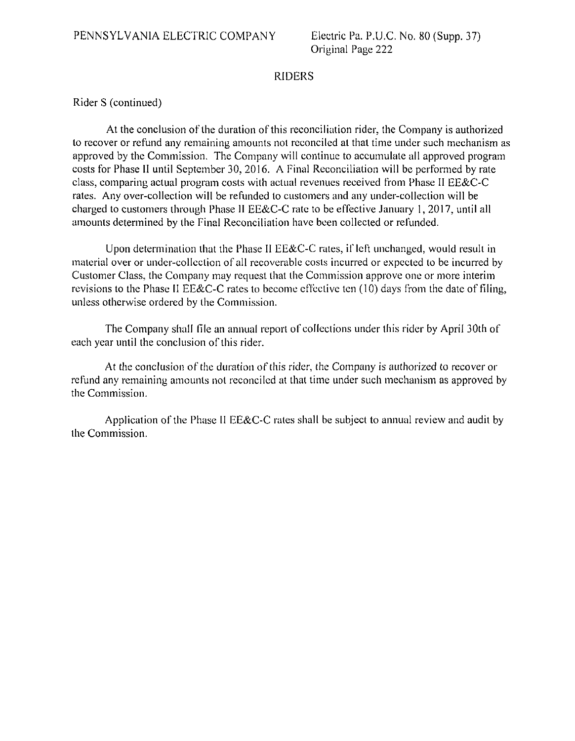Rider S (continued)

At the conclusion of the duration of this reconciliation rider, the Company is authorized to recover or refund any remaining amounts nol reconciled at that time under such mechanism as approved by the Commission. The Company will continue to accumulate all approved program costs for Phase II until September 30, 2016. A Final Reconciliation will be performed by rate class, comparing actual program costs with actual revenues received from Phase II EE&C-C rates. Any over-collection will be refunded to customers and any under-collection will be charged to customers through Phase II EE&C-C rate to be effective January 1, 2017, until all amounts determined by the Final Reconciliation have been collected or refunded.

Upon determination that the Phase II EE&C-C rates, if left unchanged, would result in material over or under-collection of all recoverable costs incurred or expected to be incurred by Customer Class, the Company may request that the Commission approve one or more interim revisions to the Phase II EE&C-C rates to become effective ten (10) days from the date of filing, unless otherwise ordered by the Commission.

The Company shall file an annual reporl of collections under this rider by April 30th of each year until the conclusion of this rider.

At the conclusion of the duration of this rider, the Company is authorized to recover or refund any remaining amounts not reconciled at that time under such mechanism as approved by the Commission.

Application of the Phase II EE&C-C rates shall be subject to annual review and audit by lhe Commission.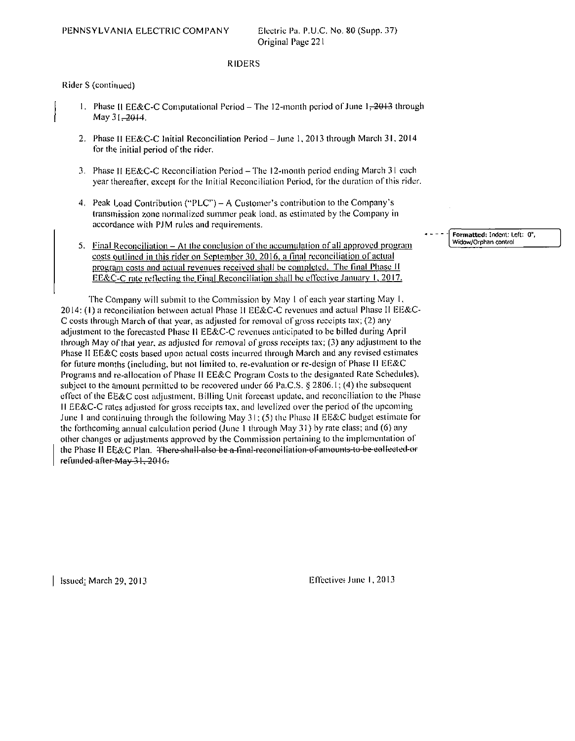Rider S (continued)

- 1. Phase II EE&C-C Computational Period The 12-month period of June  $1, 2013$  through May 31-2014.
- 2. Phase II EE&C-C Initial Reconciliation Period-June 1, 2013 through March 31 , 2014 for the initial period of the rider.
- 3. Phase II EE&C-C Reconciliation Period-The 12-monlh period ending March 3 I each year thereafter, except for the Initial Reconciliation Period, for the duration of this rider.
- 4. Peak Load Contribution ("PLC") A Customer's contribution to the Company's transinission zone normalized summer peak load, as estimated by the Company in accordance with PJM rules and requirements.
- 5. Final Reconciliation  $-$  At the conclusion of the accumulation of all approved program costs outlined in this rider on September 30, 2016, a final reconciliation of actual program costs and actual revenues received shall be completed. The final Phase II EE&C-C rate reflecting the Final Reconciliation shall be effective January 1, 2017.

The Company will submii to the Commission by May 1 of each year starting May 1, 2014: (I) a reconciliation between actual Phase II EE&C-C revenues and actual Phase II EE&C-C costs through March of that year, as adjusted for removal of gross receipls tax; (2) any adjustment to the forecasted Phase 11 EE&C-C revenues anticipated to be billed during April through May of that year, as adjusted for removal of gross receipts tax; (3) any adjusimenl to the Phase II EE&C costs based upon actual costs incurred ihrough March and any revised estimates for future months (including, but not limited to. re-evaluation or re-design of Phase II EE&C Programs and re-allocation of Phase II EE&C Program Costs to the designated Rate Schedules), subject to the amount permitted to be recovered under 66 Pa.C.S.  $\S 2806.1$ ; (4) the subsequent effect of the EE&C cost adjustment, Billing Unit forecast update, and reconciliation to the Phase II EE&C-C rates adjusted for gross receipts tax, and levelized over the period of the upcoming June I and continuing through the following May 3 I; (5) the Phase II EE&C budget eslimale for the forthcoming annual calculation period (June 1 through May 31) by rate class; and (6) any olher changes or adjustments approved by the Commission pertaining to the implementation of the Phase II EE&C Plan. There-shall-also-be-a-linal-reconciliation-of-amounts-to-be-collected-or refunded-after-May 31, 2016.

Formatted; Indent; Left: 0" Widow/Orphan control

Issued: March 29,2013 Eflectiver June 1,2013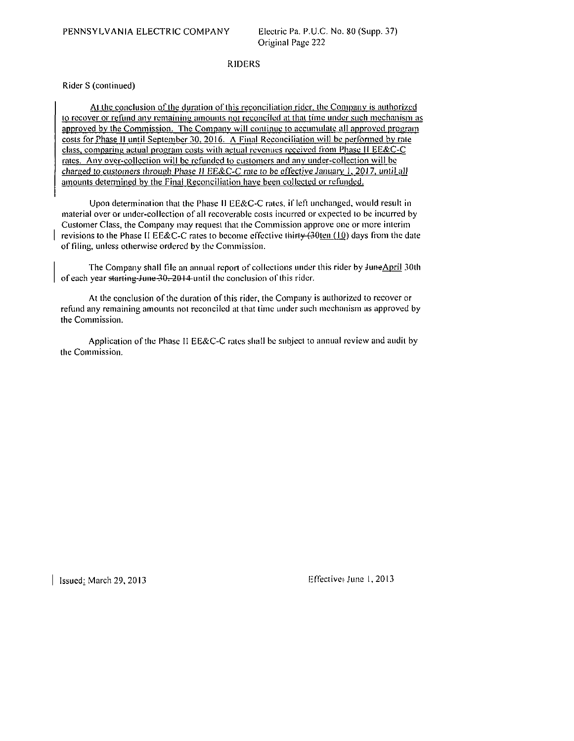Rider S (continued)

At the conclusion of the duration of this reconciliation rider, the Company is authorized io recover or refund any remaining amounls noi reconciled at thai time under such mechanism as approved by the Commission. The Companv will conlinue to accumulate all approved program costs for Phase II until September 30, 2016. A Final Reconciliation will be performed by rate class, comparing actual program costs with actual revenues received from Phase II EE&C-C rales. Any over-collection will be refunded lo cuslomers and anv under-collection will be charged to customers through Phase II EE&C-C rate to be effective January 1, 2017, until all amounts determined by the Final Reconciliation have been collected or refunded.

Upon determination that the Phase II EE&C-C rales, if left unchanged, would result in material over or under-collection of all recoverable cosls incurred or expected lo be incurred by Customer Class, the Company may request that lhe Commission approve one or more interim revisions to the Phase II EE&C-C rates to become effective thirty  $(30 \text{ten } (10)$  days from the date of filing, unless oiherwise ordered by the Commission.

The Company shall file an annual report of collections under this rider by JuneApril 30th of each year starting-June-30, 2014 until the conclusion of this rider.

At the conclusion of the duration of this rider, the Company is authorized to recover or refund any remaining amounts nol reconciled at that time under such mechanism as approved by the Commission.

Application of the Phase II EE&C-C rates shall be subject to annual review and audit by the Commission.

 $\vert$  Issued: March 29, 2013 **E**ITective: June 1, 2013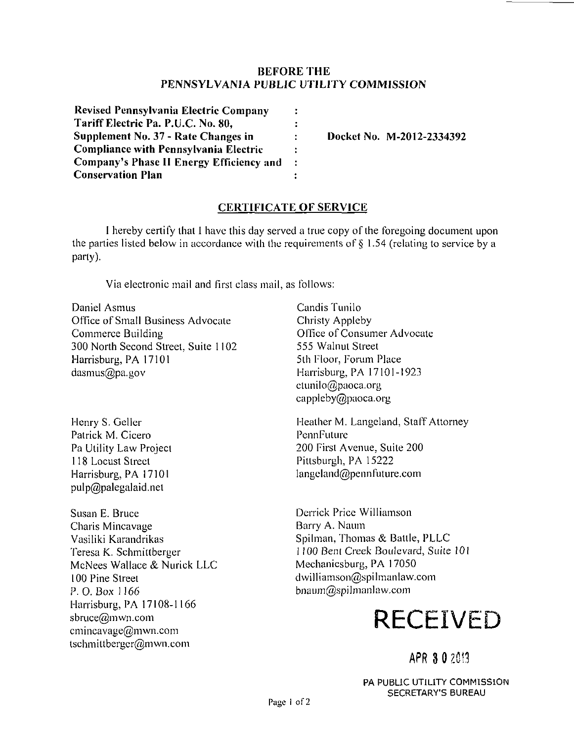## **BEFORE THE PENNSYLVANIA PUBLIC UTILITY COMMISSION**

| <b>Revised Pennsylvania Electric Company</b> | ÷              |
|----------------------------------------------|----------------|
| Tariff Electric Pa. P.U.C. No. 80,           | ÷              |
| Supplement No. 37 - Rate Changes in          | ÷              |
| <b>Compliance with Pennsylvania Electric</b> | $\ddot{\cdot}$ |
| Company's Phase II Energy Efficiency and     | $\ddot{\cdot}$ |
| <b>Conservation Plan</b>                     | ÷              |

**Docket No. M-2012-2334392** 

## **CERTIFICATE OF SERVICE**

I hereby certify lhat I have this day served a true copy of the foregoing document upon the parties listed below in accordance with the requirements of  $\S$  1.54 (relating to service by a party).

Via electronic mail and first class mail, as follows:

Daniel Asmus Office of Small Business Advocate Commerce Building 300 North Second Sireet, Suite 1102 Harrisburg, PA 17101 dasmus@pa.gov

Henry S. Geller Patrick M. Cicero Pa Utility Law Projeci 118 Locust Sireet Harrisburg, PA 17101 pulp@palegalaid.nel

Susan E. Bruce Charis Mincavage Vasiliki Karandrikas Teresa K. Schmittberger McNees Wallace & Nurick LLC 100 Pine Sireet P. O. Box 1 166 Harrisburg, PA 17108-1166 sbruce@mwn.com cmincavage@mwn.com tschmittbergcr@mwn.com

Candis Tunilo Christy Appleby Office of Consumer Advocate 555 Walnut Street 5th Floor, Forum Place Harrisburg, PA 17101-1923 ctunilo@paoca.org cappleby@paoca.org

Heather M. Langeland, Staff Attorney PennFuture 200 First Avenue, Suite 200 Pittsburgh, PA 15222 langeland@pennfuture.com

Derrick Price Williamson Barry A. Naum Spilman, Thomas & Battle, PLLC 1 100 Bent Creek Boulevard, Suite 10i Mechanicsburg, PA 17050 dwilliamson@spilmanlaw.com bnaum@spilmanlaw.com

# **RECEIVED**

## APR 3 0 2013

PA PUBLIC UTILITY COMMISSION SECRETARY'S BUREAU